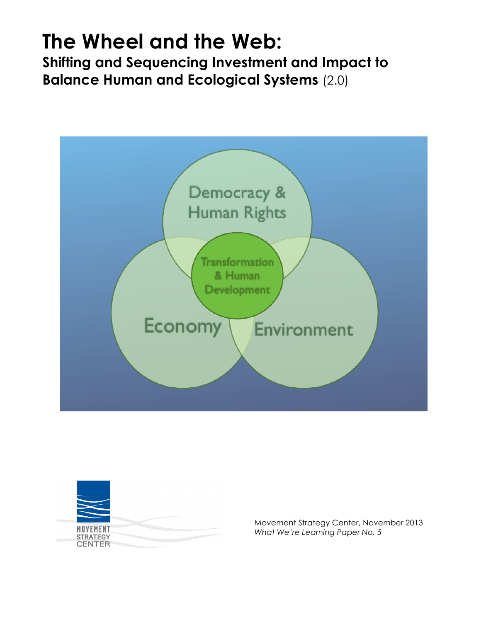# **The Wheel and the Web:**

**Shifting and Sequencing Investment and Impact to Balance Human and Ecological Systems** (2.0)





Movement Strategy Center, November 2013 *What We're Learning Paper No. 5*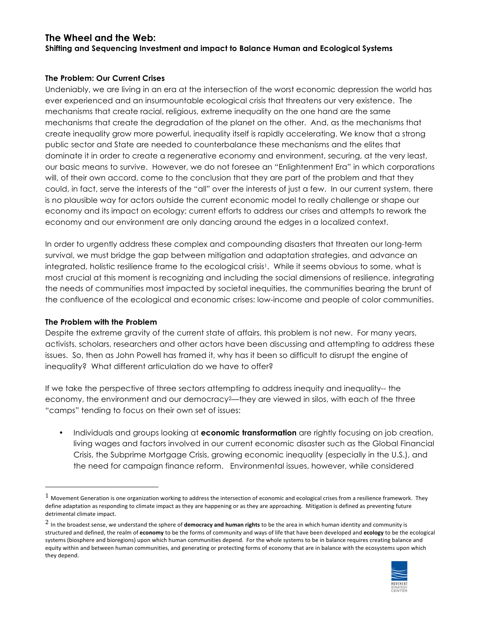# **The Wheel and the Web:**

**Shifting and Sequencing Investment and impact to Balance Human and Ecological Systems**

#### **The Problem: Our Current Crises**

Undeniably, we are living in an era at the intersection of the worst economic depression the world has ever experienced and an insurmountable ecological crisis that threatens our very existence. The mechanisms that create racial, religious, extreme inequality on the one hand are the same mechanisms that create the degradation of the planet on the other. And, as the mechanisms that create inequality grow more powerful, inequality itself is rapidly accelerating. We know that a strong public sector and State are needed to counterbalance these mechanisms and the elites that dominate it in order to create a regenerative economy and environment, securing, at the very least, our basic means to survive. However, we do not foresee an "Enlightenment Era" in which corporations will, of their own accord, come to the conclusion that they are part of the problem and that they could, in fact, serve the interests of the "all" over the interests of just a few. In our current system, there is no plausible way for actors outside the current economic model to really challenge or shape our economy and its impact on ecology; current efforts to address our crises and attempts to rework the economy and our environment are only dancing around the edges in a localized context.

In order to urgently address these complex and compounding disasters that threaten our long-term survival, we must bridge the gap between mitigation and adaptation strategies, and advance an integrated, holistic resilience frame to the ecological crisis<sup>1</sup>. While it seems obvious to some, what is most crucial at this moment is recognizing and including the social dimensions of resilience, integrating the needs of communities most impacted by societal inequities, the communities bearing the brunt of the confluence of the ecological and economic crises: low-income and people of color communities.

## **The Problem with the Problem**

!!!!!!!!!!!!!!!!!!!!!!!!!!!!!!!!!!!!!!!!!!!!!!!!!!!!!!!

Despite the extreme gravity of the current state of affairs, this problem is not new. For many years, activists, scholars, researchers and other actors have been discussing and attempting to address these issues. So, then as John Powell has framed it, why has it been so difficult to disrupt the engine of inequality? What different articulation do we have to offer?

If we take the perspective of three sectors attempting to address inequity and inequality-- the economy, the environment and our democracy<sup>2</sup>—they are viewed in silos, with each of the three "camps" tending to focus on their own set of issues:

• Individuals and groups looking at **economic transformation** are rightly focusing on job creation, living wages and factors involved in our current economic disaster such as the Global Financial Crisis, the Subprime Mortgage Crisis, growing economic inequality (especially in the U.S.), and the need for campaign finance reform. Environmental issues, however, while considered

<sup>&</sup>lt;sup>2</sup> In the broadest sense, we understand the sphere of **democracy and human rights** to be the area in which human identity and community is structured and defined, the realm of economy to be the forms of community and ways of life that have been developed and ecology to be the ecological systems (biosphere and bioregions) upon which human communities depend. For the whole systems to be in balance requires creating balance and equity within and between human communities, and generating or protecting forms of economy that are in balance with the ecosystems upon which they depend.



 $1$  Movement Generation is one organization working to address the intersection of economic and ecological crises from a resilience framework. They define adaptation as responding to climate impact as they are happening or as they are approaching. Mitigation is defined as preventing future detrimental climate impact.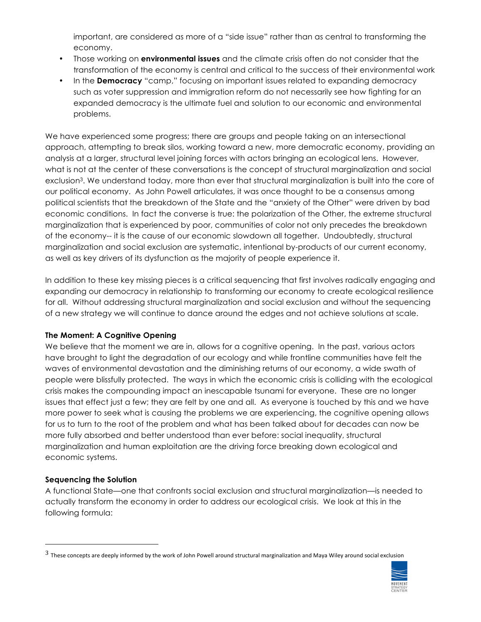important, are considered as more of a "side issue" rather than as central to transforming the economy.

- Those working on **environmental issues** and the climate crisis often do not consider that the transformation of the economy is central and critical to the success of their environmental work
- In the **Democracy** "camp," focusing on important issues related to expanding democracy such as voter suppression and immigration reform do not necessarily see how fighting for an expanded democracy is the ultimate fuel and solution to our economic and environmental problems.

We have experienced some progress; there are groups and people taking on an intersectional approach, attempting to break silos, working toward a new, more democratic economy, providing an analysis at a larger, structural level joining forces with actors bringing an ecological lens. However, what is not at the center of these conversations is the concept of structural marginalization and social exclusion3. We understand today, more than ever that structural marginalization is built into the core of our political economy. As John Powell articulates, it was once thought to be a consensus among political scientists that the breakdown of the State and the "anxiety of the Other" were driven by bad economic conditions. In fact the converse is true: the polarization of the Other, the extreme structural marginalization that is experienced by poor, communities of color not only precedes the breakdown of the economy-- it is the cause of our economic slowdown all together. Undoubtedly, structural marginalization and social exclusion are systematic, intentional by-products of our current economy, as well as key drivers of its dysfunction as the majority of people experience it.

In addition to these key missing pieces is a critical sequencing that first involves radically engaging and expanding our democracy in relationship to transforming our economy to create ecological resilience for all. Without addressing structural marginalization and social exclusion and without the sequencing of a new strategy we will continue to dance around the edges and not achieve solutions at scale.

## **The Moment: A Cognitive Opening**

We believe that the moment we are in, allows for a cognitive opening. In the past, various actors have brought to light the degradation of our ecology and while frontline communities have felt the waves of environmental devastation and the diminishing returns of our economy, a wide swath of people were blissfully protected. The ways in which the economic crisis is colliding with the ecological crisis makes the compounding impact an inescapable tsunami for everyone. These are no longer issues that effect just a few; they are felt by one and all. As everyone is touched by this and we have more power to seek what is causing the problems we are experiencing, the cognitive opening allows for us to turn to the root of the problem and what has been talked about for decades can now be more fully absorbed and better understood than ever before: social inequality, structural marginalization and human exploitation are the driving force breaking down ecological and economic systems.

## **Sequencing the Solution**

!!!!!!!!!!!!!!!!!!!!!!!!!!!!!!!!!!!!!!!!!!!!!!!!!!!!!!!

A functional State—one that confronts social exclusion and structural marginalization—is needed to actually transform the economy in order to address our ecological crisis. We look at this in the following formula:

 $3$  These concepts are deeply informed by the work of John Powell around structural marginalization and Maya Wiley around social exclusion

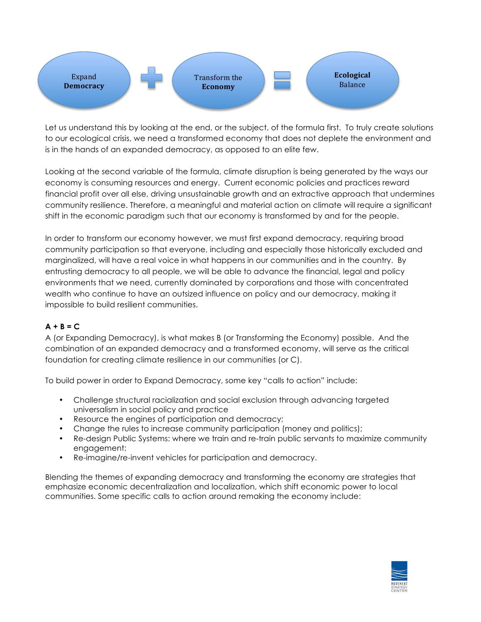

Let us understand this by looking at the end, or the subject, of the formula first. To truly create solutions to our ecological crisis, we need a transformed economy that does not deplete the environment and is in the hands of an expanded democracy, as opposed to an elite few.

Looking at the second variable of the formula, climate disruption is being generated by the ways our economy is consuming resources and energy. Current economic policies and practices reward financial profit over all else, driving unsustainable growth and an extractive approach that undermines community resilience. Therefore, a meaningful and material action on climate will require a significant shift in the economic paradigm such that our economy is transformed by and for the people.

In order to transform our economy however, we must first expand democracy, requiring broad community participation so that everyone, including and especially those historically excluded and marginalized, will have a real voice in what happens in our communities and in the country. By entrusting democracy to all people, we will be able to advance the financial, legal and policy environments that we need, currently dominated by corporations and those with concentrated wealth who continue to have an outsized influence on policy and our democracy, making it impossible to build resilient communities.

# $A + B = C$

A (or Expanding Democracy), is what makes B (or Transforming the Economy) possible. And the combination of an expanded democracy and a transformed economy, will serve as the critical foundation for creating climate resilience in our communities (or C).

To build power in order to Expand Democracy, some key "calls to action" include:

- Challenge structural racialization and social exclusion through advancing targeted universalism in social policy and practice
- Resource the engines of participation and democracy;
- Change the rules to increase community participation (money and politics);
- Re-design Public Systems: where we train and re-train public servants to maximize community engagement;
- Re-imagine/re-invent vehicles for participation and democracy.

Blending the themes of expanding democracy and transforming the economy are strategies that emphasize economic decentralization and localization, which shift economic power to local communities. Some specific calls to action around remaking the economy include: